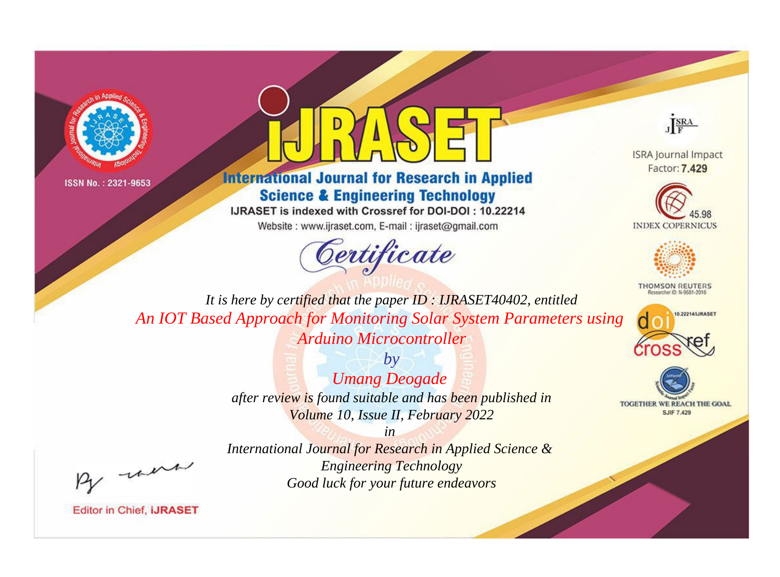



# **International Journal for Research in Applied Science & Engineering Technology**

IJRASET is indexed with Crossref for DOI-DOI: 10.22214

Website: www.ijraset.com, E-mail: ijraset@gmail.com



JERA

**ISRA Journal Impact** Factor: 7.429





**THOMSON REUTERS** 



TOGETHER WE REACH THE GOAL **SJIF 7.429** 

It is here by certified that the paper ID: IJRASET40402, entitled An IOT Based Approach for Monitoring Solar System Parameters using Arduino Microcontroller

> $b\nu$ **Umang Deogade** after review is found suitable and has been published in Volume 10, Issue II, February 2022

> > $in$

were

International Journal for Research in Applied Science & **Engineering Technology** Good luck for your future endeavors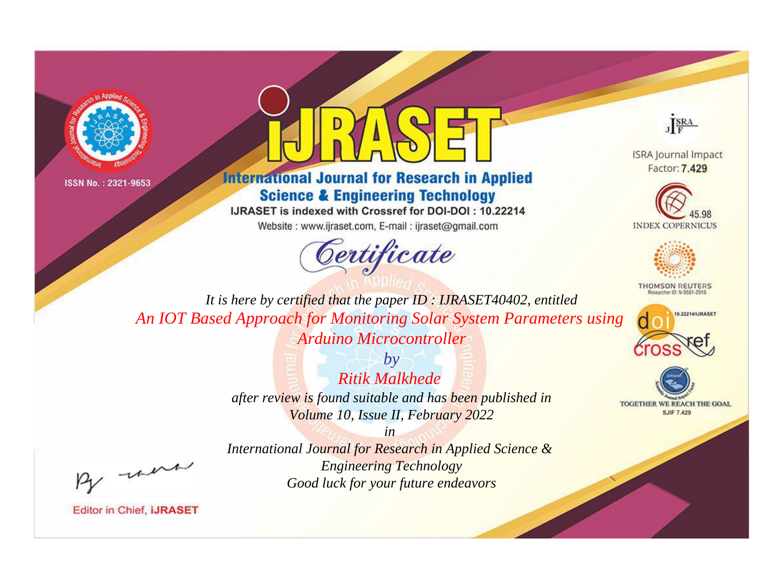



# **International Journal for Research in Applied Science & Engineering Technology**

IJRASET is indexed with Crossref for DOI-DOI: 10.22214

Website: www.ijraset.com, E-mail: ijraset@gmail.com



JERA

**ISRA Journal Impact** Factor: 7.429





**THOMSON REUTERS** 



TOGETHER WE REACH THE GOAL **SJIF 7.429** 

It is here by certified that the paper ID: IJRASET40402, entitled An IOT Based Approach for Monitoring Solar System Parameters using Arduino Microcontroller

> $b\nu$ **Ritik Malkhede** after review is found suitable and has been published in Volume 10, Issue II, February 2022

were

International Journal for Research in Applied Science & **Engineering Technology** Good luck for your future endeavors

 $in$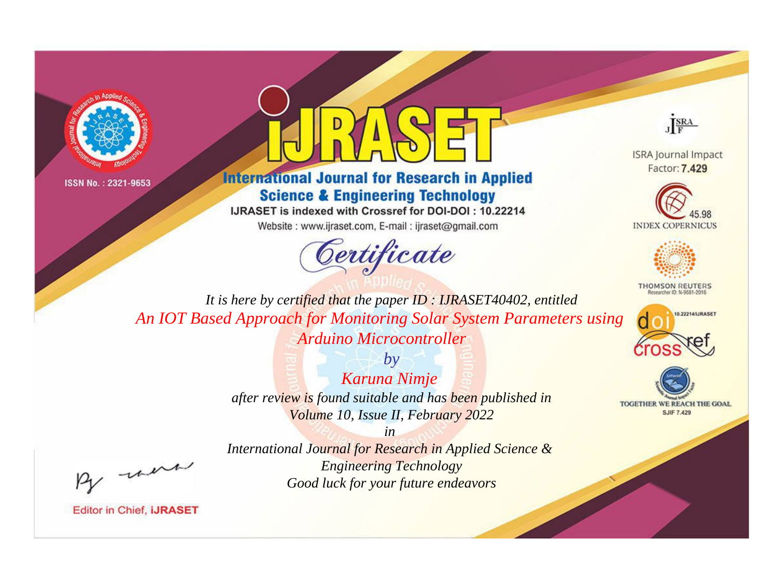



# **International Journal for Research in Applied Science & Engineering Technology**

IJRASET is indexed with Crossref for DOI-DOI: 10.22214

Website: www.ijraset.com, E-mail: ijraset@gmail.com



JERA

**ISRA Journal Impact** Factor: 7.429





**THOMSON REUTERS** 



TOGETHER WE REACH THE GOAL **SJIF 7.429** 

It is here by certified that the paper ID: IJRASET40402, entitled An IOT Based Approach for Monitoring Solar System Parameters using Arduino Microcontroller

> $b\nu$ Karuna Nimje after review is found suitable and has been published in Volume 10, Issue II, February 2022

> > $in$

International Journal for Research in Applied Science & **Engineering Technology** Good luck for your future endeavors

were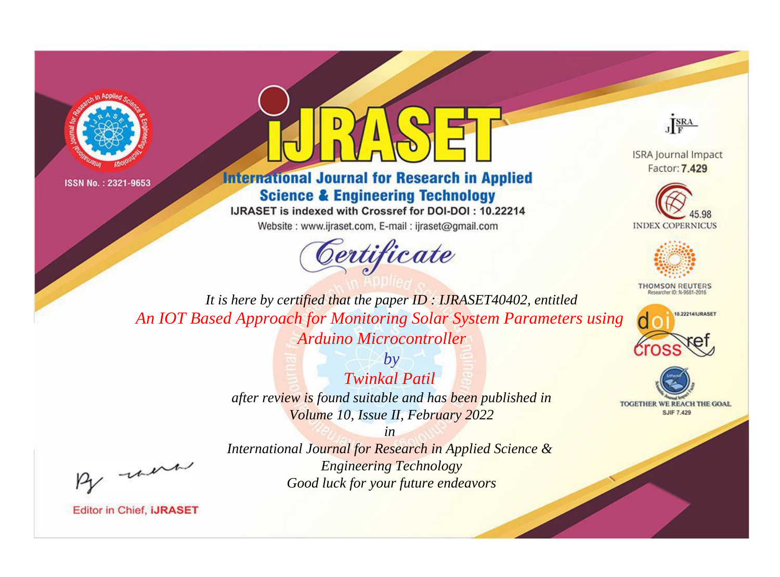



# **International Journal for Research in Applied Science & Engineering Technology**

IJRASET is indexed with Crossref for DOI-DOI: 10.22214

Website: www.ijraset.com, E-mail: ijraset@gmail.com



JERA

**ISRA Journal Impact** Factor: 7.429





**THOMSON REUTERS** 



TOGETHER WE REACH THE GOAL **SJIF 7.429** 

It is here by certified that the paper ID: IJRASET40402, entitled An IOT Based Approach for Monitoring Solar System Parameters using Arduino Microcontroller

> $b\nu$ **Twinkal Patil** after review is found suitable and has been published in Volume 10, Issue II, February 2022

> > $in$

International Journal for Research in Applied Science & **Engineering Technology** Good luck for your future endeavors

were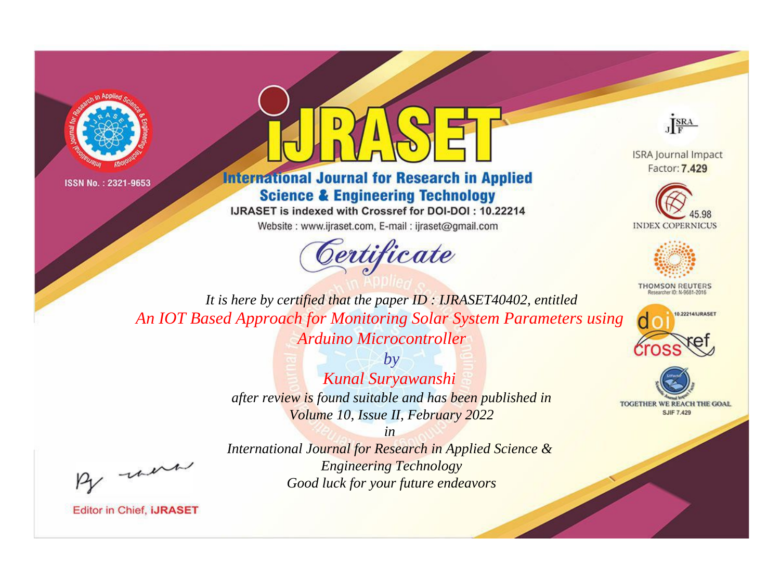



# **International Journal for Research in Applied Science & Engineering Technology**

IJRASET is indexed with Crossref for DOI-DOI: 10.22214

Website: www.ijraset.com, E-mail: ijraset@gmail.com





**ISRA Journal Impact** Factor: 7.429





**THOMSON REUTERS** 



TOGETHER WE REACH THE GOAL **SJIF 7.429** 

*It is here by certified that the paper ID : IJRASET40402, entitled An IOT Based Approach for Monitoring Solar System Parameters using Arduino Microcontroller*

> *by Kunal Suryawanshi after review is found suitable and has been published in Volume 10, Issue II, February 2022*

> > *in*

, un

*International Journal for Research in Applied Science & Engineering Technology Good luck for your future endeavors*